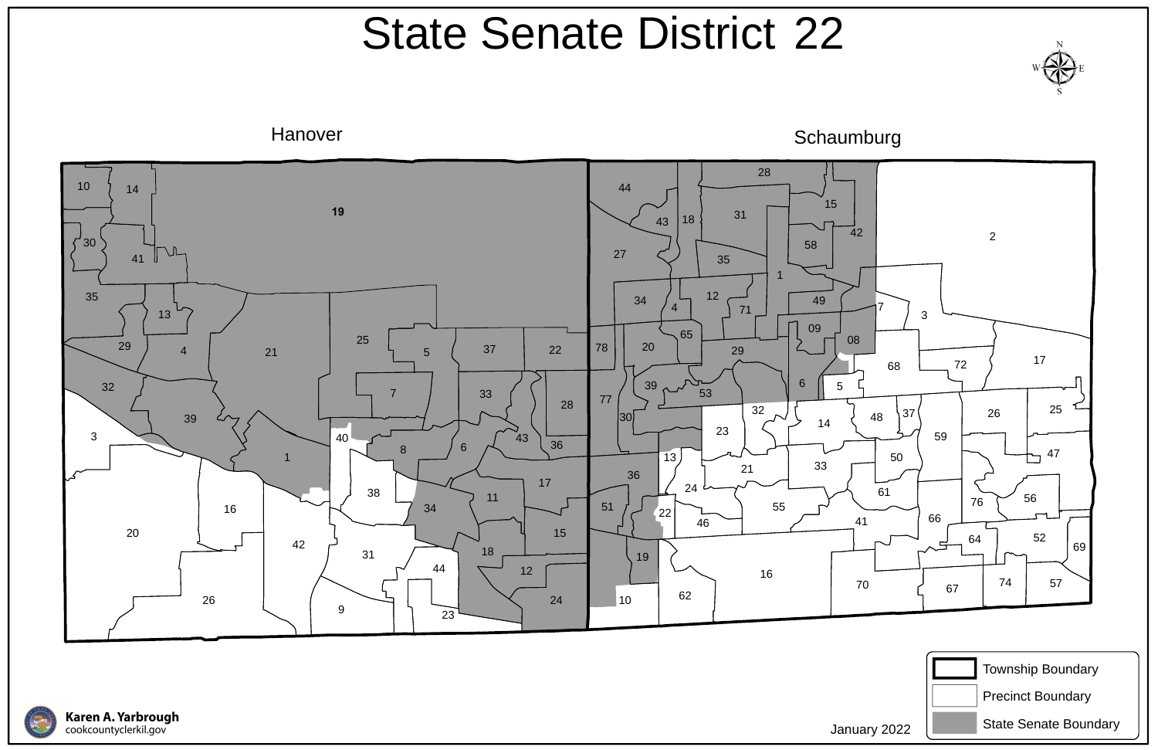



## State Senate District 22





January 2022



State Senate Boundary

Precinct Boundary